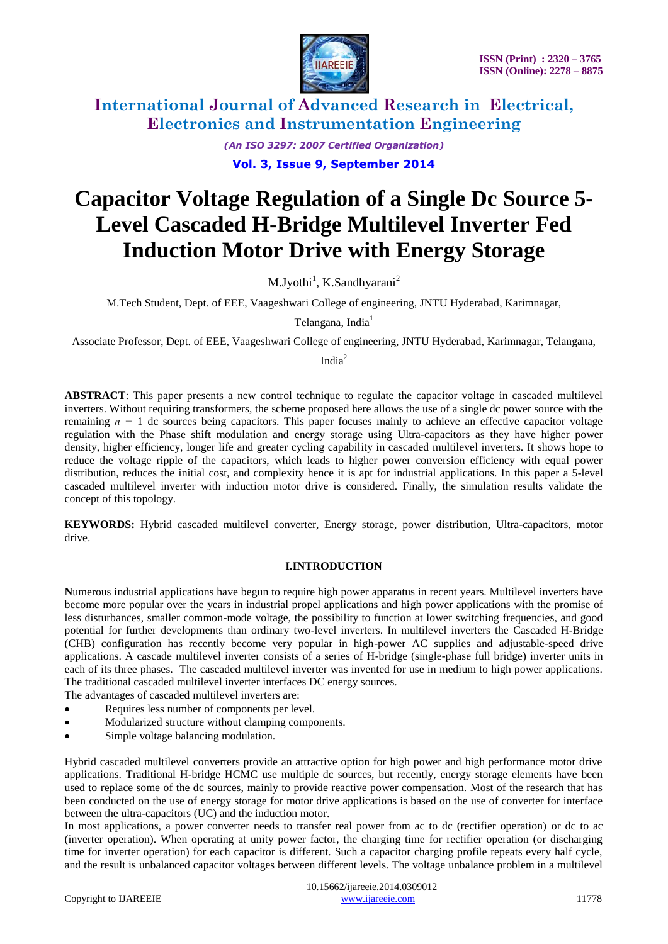

> *(An ISO 3297: 2007 Certified Organization)* **Vol. 3, Issue 9, September 2014**

# **Capacitor Voltage Regulation of a Single Dc Source 5- Level Cascaded H-Bridge Multilevel Inverter Fed Induction Motor Drive with Energy Storage**

M.Jyothi<sup>1</sup>, K.Sandhyarani<sup>2</sup>

M.Tech Student, Dept. of EEE, Vaageshwari College of engineering, JNTU Hyderabad, Karimnagar,

Telangana, India<sup>1</sup>

Associate Professor, Dept. of EEE, Vaageshwari College of engineering, JNTU Hyderabad, Karimnagar, Telangana,

India<sup>2</sup>

**ABSTRACT**: This paper presents a new control technique to regulate the capacitor voltage in cascaded multilevel inverters. Without requiring transformers, the scheme proposed here allows the use of a single dc power source with the remaining *n −* 1 dc sources being capacitors. This paper focuses mainly to achieve an effective capacitor voltage regulation with the Phase shift modulation and energy storage using Ultra-capacitors as they have higher power density, higher efficiency, longer life and greater cycling capability in cascaded multilevel inverters. It shows hope to reduce the voltage ripple of the capacitors, which leads to higher power conversion efficiency with equal power distribution, reduces the initial cost, and complexity hence it is apt for industrial applications. In this paper a 5-level cascaded multilevel inverter with induction motor drive is considered. Finally, the simulation results validate the concept of this topology.

**KEYWORDS:** Hybrid cascaded multilevel converter, Energy storage, power distribution, Ultra-capacitors, motor drive.

#### **I.INTRODUCTION**

**N**umerous industrial applications have begun to require high power apparatus in recent years. Multilevel inverters have become more popular over the years in industrial propel applications and high power applications with the promise of less disturbances, smaller common-mode voltage, the possibility to function at lower switching frequencies, and good potential for further developments than ordinary two-level inverters. In multilevel inverters the Cascaded H-Bridge (CHB) configuration has recently become very popular in high-power AC supplies and adjustable-speed drive applications. A cascade multilevel inverter consists of a series of H-bridge (single-phase full bridge) inverter units in each of its three phases. The cascaded multilevel inverter was invented for use in medium to high power applications. The traditional cascaded multilevel inverter interfaces DC energy sources.

The advantages of cascaded multilevel inverters are:

- Requires less number of components per level.
- Modularized structure without clamping components.
- Simple voltage balancing modulation.

Hybrid cascaded multilevel converters provide an attractive option for high power and high performance motor drive applications. Traditional H-bridge HCMC use multiple dc sources, but recently, energy storage elements have been used to replace some of the dc sources, mainly to provide reactive power compensation. Most of the research that has been conducted on the use of energy storage for motor drive applications is based on the use of converter for interface between the ultra-capacitors (UC) and the induction motor.

In most applications, a power converter needs to transfer real power from ac to dc (rectifier operation) or dc to ac (inverter operation). When operating at unity power factor, the charging time for rectifier operation (or discharging time for inverter operation) for each capacitor is different. Such a capacitor charging profile repeats every half cycle, and the result is unbalanced capacitor voltages between different levels. The voltage unbalance problem in a multilevel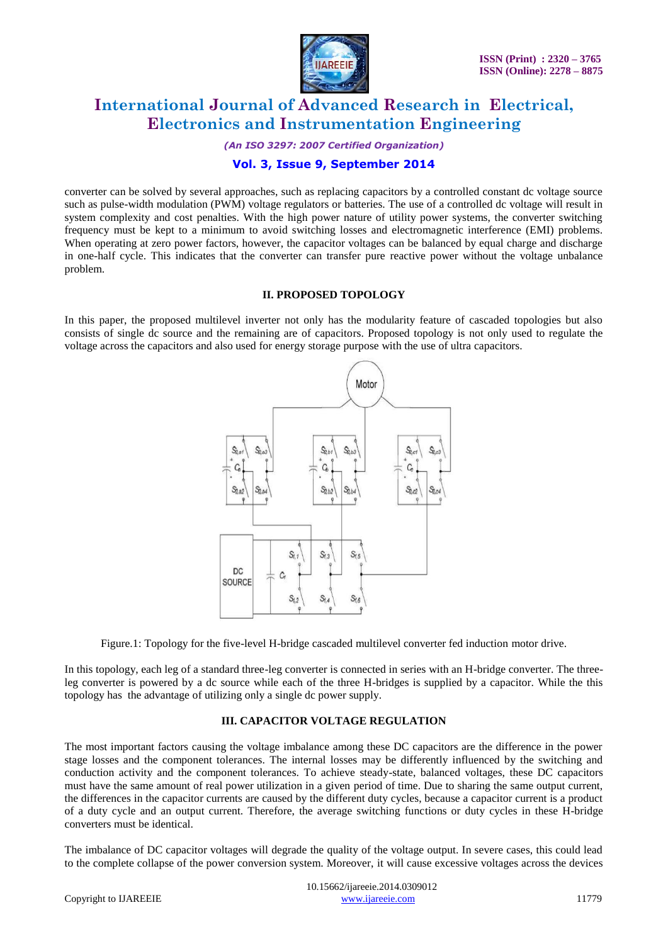

*(An ISO 3297: 2007 Certified Organization)*

### **Vol. 3, Issue 9, September 2014**

converter can be solved by several approaches, such as replacing capacitors by a controlled constant dc voltage source such as pulse-width modulation (PWM) voltage regulators or batteries. The use of a controlled dc voltage will result in system complexity and cost penalties. With the high power nature of utility power systems, the converter switching frequency must be kept to a minimum to avoid switching losses and electromagnetic interference (EMI) problems. When operating at zero power factors, however, the capacitor voltages can be balanced by equal charge and discharge in one-half cycle. This indicates that the converter can transfer pure reactive power without the voltage unbalance problem.

#### **II. PROPOSED TOPOLOGY**

In this paper, the proposed multilevel inverter not only has the modularity feature of cascaded topologies but also consists of single dc source and the remaining are of capacitors. Proposed topology is not only used to regulate the voltage across the capacitors and also used for energy storage purpose with the use of ultra capacitors.



Figure.1: Topology for the five-level H-bridge cascaded multilevel converter fed induction motor drive.

In this topology, each leg of a standard three-leg converter is connected in series with an H-bridge converter. The threeleg converter is powered by a dc source while each of the three H-bridges is supplied by a capacitor. While the this topology has the advantage of utilizing only a single dc power supply.

#### **III. CAPACITOR VOLTAGE REGULATION**

The most important factors causing the voltage imbalance among these DC capacitors are the difference in the power stage losses and the component tolerances. The internal losses may be differently influenced by the switching and conduction activity and the component tolerances. To achieve steady-state, balanced voltages, these DC capacitors must have the same amount of real power utilization in a given period of time. Due to sharing the same output current, the differences in the capacitor currents are caused by the different duty cycles, because a capacitor current is a product of a duty cycle and an output current. Therefore, the average switching functions or duty cycles in these H-bridge converters must be identical.

The imbalance of DC capacitor voltages will degrade the quality of the voltage output. In severe cases, this could lead to the complete collapse of the power conversion system. Moreover, it will cause excessive voltages across the devices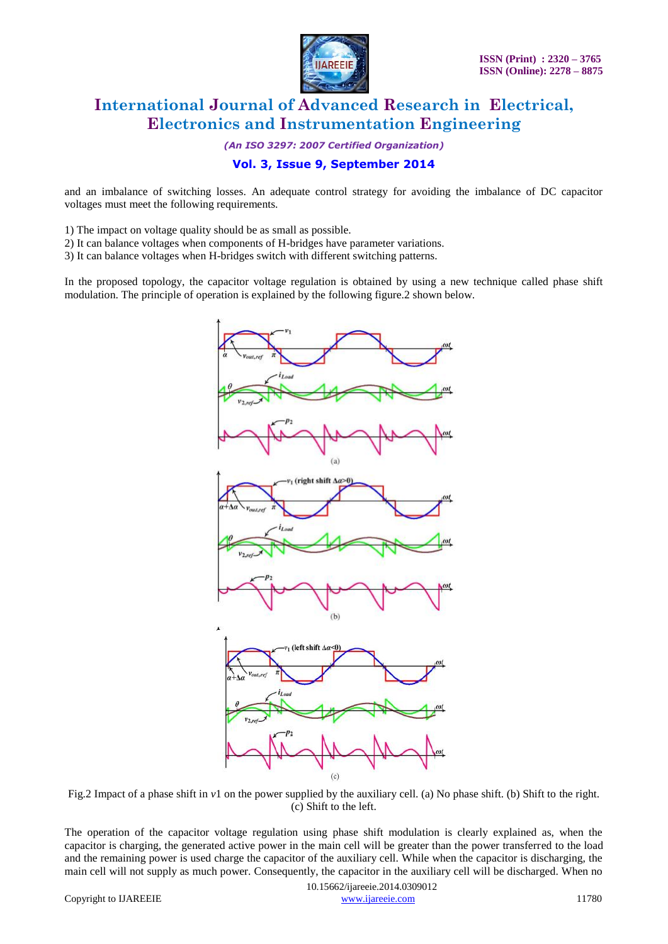

*(An ISO 3297: 2007 Certified Organization)*

### **Vol. 3, Issue 9, September 2014**

and an imbalance of switching losses. An adequate control strategy for avoiding the imbalance of DC capacitor voltages must meet the following requirements.

- 1) The impact on voltage quality should be as small as possible.
- 2) It can balance voltages when components of H-bridges have parameter variations.
- 3) It can balance voltages when H-bridges switch with different switching patterns.

In the proposed topology, the capacitor voltage regulation is obtained by using a new technique called phase shift modulation. The principle of operation is explained by the following figure.2 shown below.



Fig.2 Impact of a phase shift in *v*1 on the power supplied by the auxiliary cell. (a) No phase shift. (b) Shift to the right. (c) Shift to the left.

The operation of the capacitor voltage regulation using phase shift modulation is clearly explained as, when the capacitor is charging, the generated active power in the main cell will be greater than the power transferred to the load and the remaining power is used charge the capacitor of the auxiliary cell. While when the capacitor is discharging, the main cell will not supply as much power. Consequently, the capacitor in the auxiliary cell will be discharged. When no

 10.15662/ijareeie.2014.0309012 Copyright to IJAREEIE [www.ijareeie.com](http://www.ijareeie.com/) 11780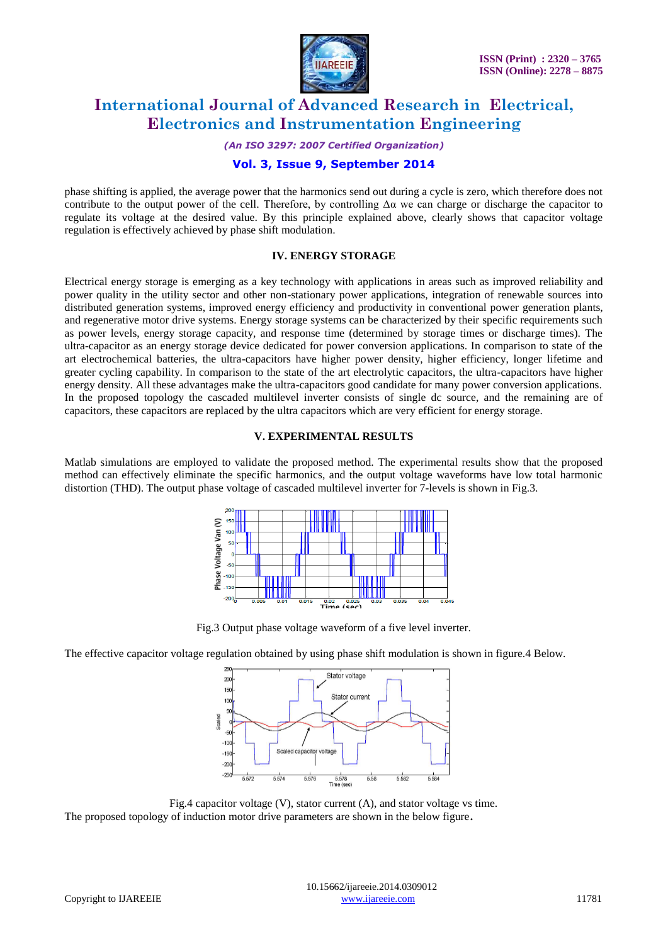

*(An ISO 3297: 2007 Certified Organization)*

### **Vol. 3, Issue 9, September 2014**

phase shifting is applied, the average power that the harmonics send out during a cycle is zero, which therefore does not contribute to the output power of the cell. Therefore, by controlling  $\Delta a$  we can charge or discharge the capacitor to regulate its voltage at the desired value. By this principle explained above, clearly shows that capacitor voltage regulation is effectively achieved by phase shift modulation.

#### **IV. ENERGY STORAGE**

Electrical energy storage is emerging as a key technology with applications in areas such as improved reliability and power quality in the utility sector and other non-stationary power applications, integration of renewable sources into distributed generation systems, improved energy efficiency and productivity in conventional power generation plants, and regenerative motor drive systems. Energy storage systems can be characterized by their specific requirements such as power levels, energy storage capacity, and response time (determined by storage times or discharge times). The ultra-capacitor as an energy storage device dedicated for power conversion applications. In comparison to state of the art electrochemical batteries, the ultra-capacitors have higher power density, higher efficiency, longer lifetime and greater cycling capability. In comparison to the state of the art electrolytic capacitors, the ultra-capacitors have higher energy density. All these advantages make the ultra-capacitors good candidate for many power conversion applications. In the proposed topology the cascaded multilevel inverter consists of single dc source, and the remaining are of capacitors, these capacitors are replaced by the ultra capacitors which are very efficient for energy storage.

#### **V. EXPERIMENTAL RESULTS**

Matlab simulations are employed to validate the proposed method. The experimental results show that the proposed method can effectively eliminate the specific harmonics, and the output voltage waveforms have low total harmonic distortion (THD). The output phase voltage of cascaded multilevel inverter for 7-levels is shown in Fig.3.



Fig.3 Output phase voltage waveform of a five level inverter.

The effective capacitor voltage regulation obtained by using phase shift modulation is shown in figure.4 Below.



Fig.4 capacitor voltage (V), stator current (A), and stator voltage vs time. The proposed topology of induction motor drive parameters are shown in the below figure**.**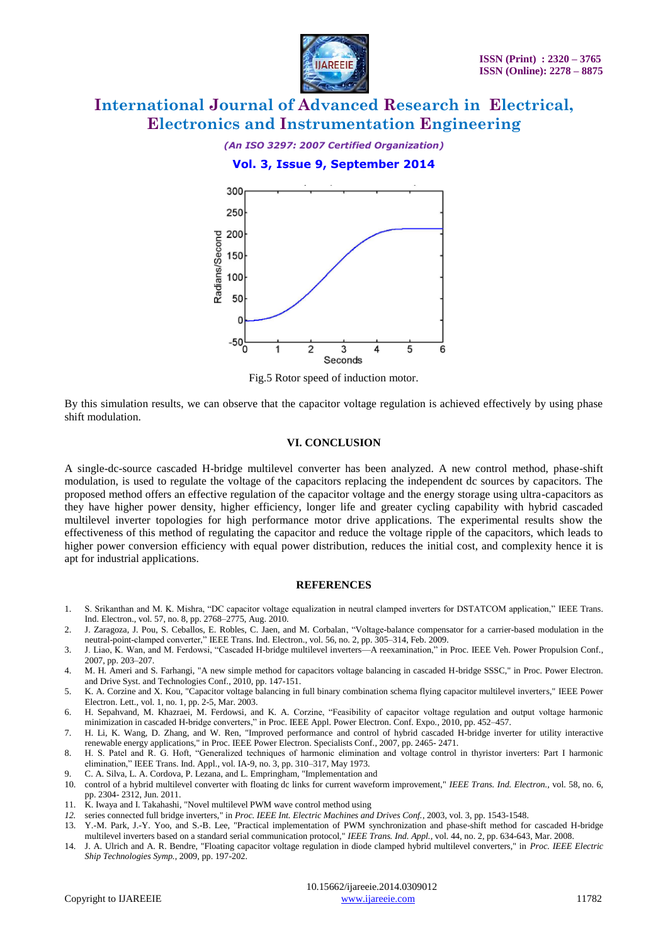

### *(An ISO 3297: 2007 Certified Organization)*

#### **Vol. 3, Issue 9, September 2014**



Fig.5 Rotor speed of induction motor.

By this simulation results, we can observe that the capacitor voltage regulation is achieved effectively by using phase shift modulation.

#### **VI. CONCLUSION**

A single-dc-source cascaded H-bridge multilevel converter has been analyzed. A new control method, phase-shift modulation, is used to regulate the voltage of the capacitors replacing the independent dc sources by capacitors. The proposed method offers an effective regulation of the capacitor voltage and the energy storage using ultra-capacitors as they have higher power density, higher efficiency, longer life and greater cycling capability with hybrid cascaded multilevel inverter topologies for high performance motor drive applications. The experimental results show the effectiveness of this method of regulating the capacitor and reduce the voltage ripple of the capacitors, which leads to higher power conversion efficiency with equal power distribution, reduces the initial cost, and complexity hence it is apt for industrial applications.

#### **REFERENCES**

- 1. S. Srikanthan and M. K. Mishra, "DC capacitor voltage equalization in neutral clamped inverters for DSTATCOM application," IEEE Trans. Ind. Electron., vol. 57, no. 8, pp. 2768–2775, Aug. 2010.
- 2. J. Zaragoza, J. Pou, S. Ceballos, E. Robles, C. Jaen, and M. Corbalan, "Voltage-balance compensator for a carrier-based modulation in the neutral-point-clamped converter," IEEE Trans. Ind. Electron., vol. 56, no. 2, pp. 305-314, Feb. 2009.
- 3. J. Liao, K. Wan, and M. Ferdowsi, "Cascaded H-bridge multilevel inverters—A reexamination," in Proc. IEEE Veh. Power Propulsion Conf., 2007, pp. 203–207.
- 4. M. H. Ameri and S. Farhangi, "A new simple method for capacitors voltage balancing in cascaded H-bridge SSSC," in Proc. Power Electron. and Drive Syst. and Technologies Conf., 2010, pp. 147-151.
- 5. K. A. Corzine and X. Kou, "Capacitor voltage balancing in full binary combination schema flying capacitor multilevel inverters," IEEE Power Electron. Lett., vol. 1, no. 1, pp. 2-5, Mar. 2003.
- 6. H. Sepahvand, M. Khazraei, M. Ferdowsi, and K. A. Corzine, "Feasibility of capacitor voltage regulation and output voltage harmonic minimization in cascaded H-bridge converters," in Proc. IEEE Appl. Power Electron. Conf. Expo., 2010, pp. 452-457.
- 7. H. Li, K. Wang, D. Zhang, and W. Ren, "Improved performance and control of hybrid cascaded H-bridge inverter for utility interactive renewable energy applications," in Proc. IEEE Power Electron. Specialists Conf., 2007, pp. 2465- 2471.
- 8. H. S. Patel and R. G. Hoft, "Generalized techniques of harmonic elimination and voltage control in thyristor inverters: Part I harmonic elimination," IEEE Trans. Ind. Appl., vol. IA-9, no. 3, pp. 310-317, May 1973.
- 9. C. A. Silva, L. A. Cordova, P. Lezana, and L. Empringham, "Implementation and
- 10. control of a hybrid multilevel converter with floating dc links for current waveform improvement," *IEEE Trans. Ind. Electron.,* vol. 58, no. 6, pp. 2304- 2312, Jun. 2011.
- 11. K. Iwaya and I. Takahashi, "Novel multilevel PWM wave control method using
- *12.* series connected full bridge inverters," in *Proc. IEEE Int. Electric Machines and Drives Conf.*, 2003, vol. 3, pp. 1543-1548.
- 13. Y.-M. Park, J.-Y. Yoo, and S.-B. Lee, "Practical implementation of PWM synchronization and phase-shift method for cascaded H-bridge multilevel inverters based on a standard serial communication protocol," *IEEE Trans. Ind. Appl.,* vol. 44, no. 2, pp. 634-643, Mar. 2008.
- 14. J. A. Ulrich and A. R. Bendre, "Floating capacitor voltage regulation in diode clamped hybrid multilevel converters," in *Proc. IEEE Electric Ship Technologies Symp.*, 2009, pp. 197-202.